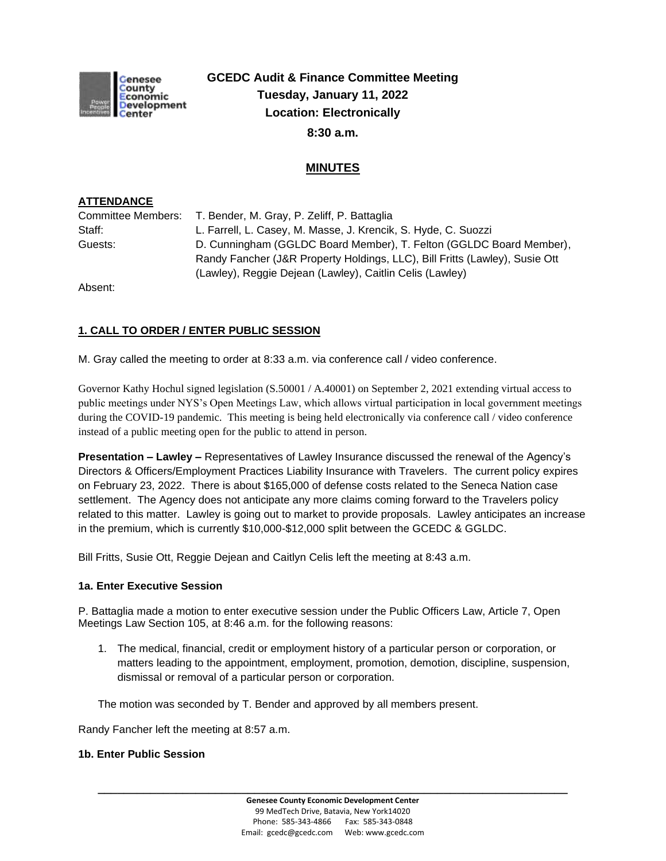

# **GCEDC Audit & Finance Committee Meeting Tuesday, January 11, 2022 Location: Electronically 8:30 a.m.**

# **MINUTES**

## **ATTENDANCE**

|         | Committee Members: T. Bender, M. Gray, P. Zeliff, P. Battaglia              |
|---------|-----------------------------------------------------------------------------|
| Staff:  | L. Farrell, L. Casey, M. Masse, J. Krencik, S. Hyde, C. Suozzi              |
| Guests: | D. Cunningham (GGLDC Board Member), T. Felton (GGLDC Board Member),         |
|         | Randy Fancher (J&R Property Holdings, LLC), Bill Fritts (Lawley), Susie Ott |
|         | (Lawley), Reggie Dejean (Lawley), Caitlin Celis (Lawley)                    |

Absent:

## **1. CALL TO ORDER / ENTER PUBLIC SESSION**

M. Gray called the meeting to order at 8:33 a.m. via conference call / video conference.

Governor Kathy Hochul signed legislation (S.50001 / A.40001) on September 2, 2021 extending virtual access to public meetings under NYS's Open Meetings Law, which allows virtual participation in local government meetings during the COVID-19 pandemic. This meeting is being held electronically via conference call / video conference instead of a public meeting open for the public to attend in person.

**Presentation – Lawley –** Representatives of Lawley Insurance discussed the renewal of the Agency's Directors & Officers/Employment Practices Liability Insurance with Travelers. The current policy expires on February 23, 2022. There is about \$165,000 of defense costs related to the Seneca Nation case settlement. The Agency does not anticipate any more claims coming forward to the Travelers policy related to this matter. Lawley is going out to market to provide proposals. Lawley anticipates an increase in the premium, which is currently \$10,000-\$12,000 split between the GCEDC & GGLDC.

Bill Fritts, Susie Ott, Reggie Dejean and Caitlyn Celis left the meeting at 8:43 a.m.

## **1a. Enter Executive Session**

P. Battaglia made a motion to enter executive session under the Public Officers Law, Article 7, Open Meetings Law Section 105, at 8:46 a.m. for the following reasons:

1. The medical, financial, credit or employment history of a particular person or corporation, or matters leading to the appointment, employment, promotion, demotion, discipline, suspension, dismissal or removal of a particular person or corporation.

The motion was seconded by T. Bender and approved by all members present.

Randy Fancher left the meeting at 8:57 a.m.

### **1b. Enter Public Session**

**\_\_\_\_\_\_\_\_\_\_\_\_\_\_\_\_\_\_\_\_\_\_\_\_\_\_\_\_\_\_\_\_\_\_\_\_\_\_\_\_\_\_\_\_\_\_\_\_\_\_\_\_\_\_\_\_\_\_\_\_\_\_\_\_\_\_\_\_\_\_\_\_**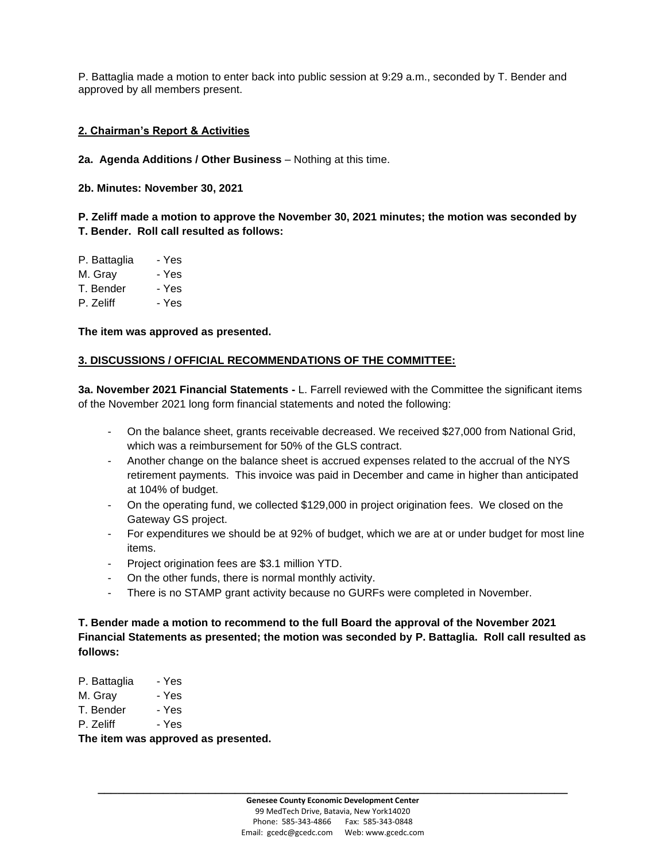P. Battaglia made a motion to enter back into public session at 9:29 a.m., seconded by T. Bender and approved by all members present.

#### **2. Chairman's Report & Activities**

**2a. Agenda Additions / Other Business** – Nothing at this time.

**2b. Minutes: November 30, 2021** 

**P. Zeliff made a motion to approve the November 30, 2021 minutes; the motion was seconded by T. Bender. Roll call resulted as follows:**

| P. Battaglia | - Yes |
|--------------|-------|
| M. Grav      | - Yes |
| T. Bender    | - Yes |
| P. Zeliff    | - Yes |
|              |       |

**The item was approved as presented.**

#### **3. DISCUSSIONS / OFFICIAL RECOMMENDATIONS OF THE COMMITTEE:**

**3a. November 2021 Financial Statements -** L. Farrell reviewed with the Committee the significant items of the November 2021 long form financial statements and noted the following:

- On the balance sheet, grants receivable decreased. We received \$27,000 from National Grid, which was a reimbursement for 50% of the GLS contract.
- Another change on the balance sheet is accrued expenses related to the accrual of the NYS retirement payments. This invoice was paid in December and came in higher than anticipated at 104% of budget.
- On the operating fund, we collected \$129,000 in project origination fees. We closed on the Gateway GS project.
- For expenditures we should be at 92% of budget, which we are at or under budget for most line items.
- Project origination fees are \$3.1 million YTD.
- On the other funds, there is normal monthly activity.
- There is no STAMP grant activity because no GURFs were completed in November.

**T. Bender made a motion to recommend to the full Board the approval of the November 2021 Financial Statements as presented; the motion was seconded by P. Battaglia. Roll call resulted as follows:**

- P. Battaglia Yes
- M. Gray Yes
- T. Bender Yes
- P. Zeliff Yes

**The item was approved as presented.**

**\_\_\_\_\_\_\_\_\_\_\_\_\_\_\_\_\_\_\_\_\_\_\_\_\_\_\_\_\_\_\_\_\_\_\_\_\_\_\_\_\_\_\_\_\_\_\_\_\_\_\_\_\_\_\_\_\_\_\_\_\_\_\_\_\_\_\_\_\_\_\_\_**